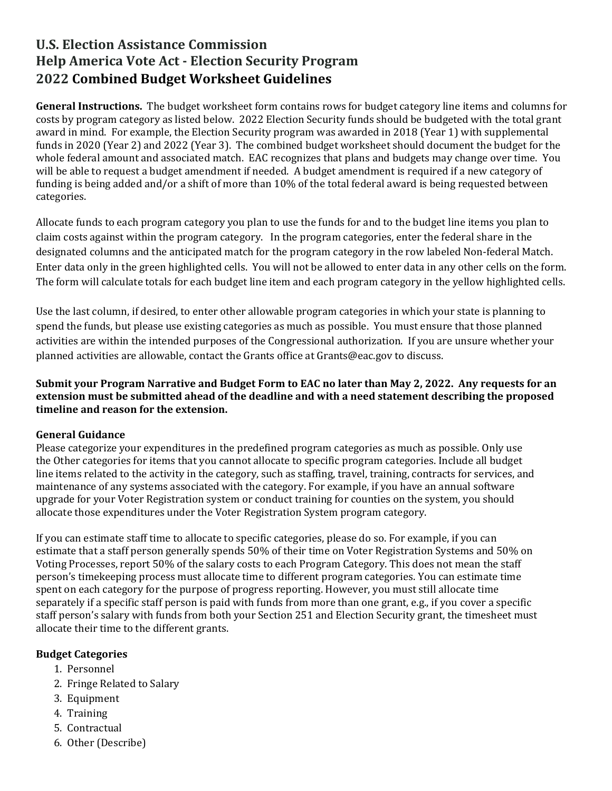# **U.S. Election Assistance Commission Help America Vote Act - Election Security Program 2022 Combined Budget Worksheet Guidelines**

**General Instructions.** The budget worksheet form contains rows for budget category line items and columns for costs by program category as listed below. 2022 Election Security funds should be budgeted with the total grant award in mind. For example, the Election Security program was awarded in 2018 (Year 1) with supplemental funds in 2020 (Year 2) and 2022 (Year 3). The combined budget worksheet should document the budget for the whole federal amount and associated match. EAC recognizes that plans and budgets may change over time. You will be able to request a budget amendment if needed. A budget amendment is required if a new category of funding is being added and/or a shift of more than 10% of the total federal award is being requested between categories.

Allocate funds to each program category you plan to use the funds for and to the budget line items you plan to claim costs against within the program category. In the program categories, enter the federal share in the designated columns and the anticipated match for the program category in the row labeled Non-federal Match. Enter data only in the green highlighted cells. You will not be allowed to enter data in any other cells on the form. The form will calculate totals for each budget line item and each program category in the yellow highlighted cells.

Use the last column, if desired, to enter other allowable program categories in which your state is planning to spend the funds, but please use existing categories as much as possible. You must ensure that those planned activities are within the intended purposes of the Congressional authorization. If you are unsure whether your planned activities are allowable, contact the Grants office at Grants@eac.gov to discuss.

**Submit your Program Narrative and Budget Form to EAC no later than May 2, 2022. Any requests for an extension must be submitted ahead of the deadline and with a need statement describing the proposed timeline and reason for the extension.**

#### **General Guidance**

Please categorize your expenditures in the predefined program categories as much as possible. Only use the Other categories for items that you cannot allocate to specific program categories. Include all budget line items related to the activity in the category, such as staffing, travel, training, contracts for services, and maintenance of any systems associated with the category. For example, if you have an annual software upgrade for your Voter Registration system or conduct training for counties on the system, you should allocate those expenditures under the Voter Registration System program category.

If you can estimate staff time to allocate to specific categories, please do so. For example, if you can estimate that a staff person generally spends 50% of their time on Voter Registration Systems and 50% on Voting Processes, report 50% of the salary costs to each Program Category. This does not mean the staff person's timekeeping process must allocate time to different program categories. You can estimate time spent on each category for the purpose of progress reporting. However, you must still allocate time separately if a specific staff person is paid with funds from more than one grant, e.g., if you cover a specific staff person's salary with funds from both your Section 251 and Election Security grant, the timesheet must allocate their time to the different grants.

### **Budget Categories**

- 1. Personnel
- 2. Fringe Related to Salary
- 3. Equipment
- 4. Training
- 5. Contractual
- 6. Other (Describe)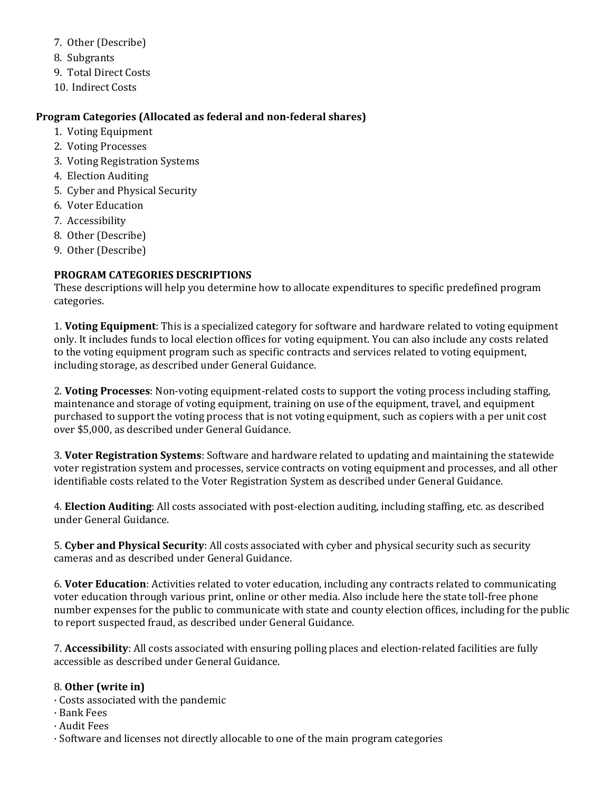- 7. Other (Describe)
- 8. Subgrants
- 9. Total Direct Costs
- 10. Indirect Costs

#### **Program Categories (Allocated as federal and non-federal shares)**

- 1. Voting Equipment
- 2. Voting Processes
- 3. Voting Registration Systems
- 4. Election Auditing
- 5. Cyber and Physical Security
- 6. Voter Education
- 7. Accessibility
- 8. Other (Describe)
- 9. Other (Describe)

## **PROGRAM CATEGORIES DESCRIPTIONS**

These descriptions will help you determine how to allocate expenditures to specific predefined program categories.

1. **Voting Equipment**: This is a specialized category for software and hardware related to voting equipment only. It includes funds to local election offices for voting equipment. You can also include any costs related to the voting equipment program such as specific contracts and services related to voting equipment, including storage, as described under General Guidance.

2. **Voting Processes**: Non-voting equipment-related costs to support the voting process including staffing, maintenance and storage of voting equipment, training on use of the equipment, travel, and equipment purchased to support the voting process that is not voting equipment, such as copiers with a per unit cost over \$5,000, as described under General Guidance.

3. **Voter Registration Systems**: Software and hardware related to updating and maintaining the statewide voter registration system and processes, service contracts on voting equipment and processes, and all other identifiable costs related to the Voter Registration System as described under General Guidance.

4. **Election Auditing**: All costs associated with post-election auditing, including staffing, etc. as described under General Guidance.

5. **Cyber and Physical Security**: All costs associated with cyber and physical security such as security cameras and as described under General Guidance.

6. **Voter Education**: Activities related to voter education, including any contracts related to communicating voter education through various print, online or other media. Also include here the state toll-free phone number expenses for the public to communicate with state and county election offices, including for the public to report suspected fraud, as described under General Guidance.

7. **Accessibility**: All costs associated with ensuring polling places and election-related facilities are fully accessible as described under General Guidance.

### 8. **Other (write in)**

- · Costs associated with the pandemic
- · Bank Fees
- · Audit Fees
- · Software and licenses not directly allocable to one of the main program categories